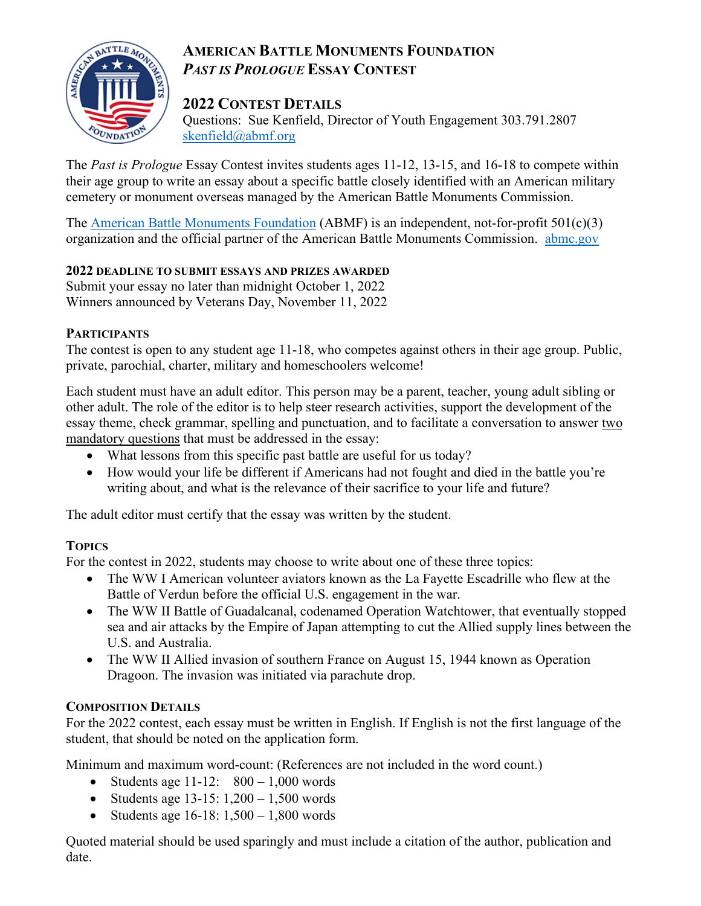# **AMERICAN BATTLE MONUMENTS FOUNDATION** *PAST IS PROLOGUE* **ESSAY CONTEST**



### **2022 CONTEST DETAILS**

Questions: Sue Kenfield, Director of Youth Engagement 303.791.2807 [skenfield@abmf.org](mailto:skenfield@abmf.org)

The *Past is Prologue* Essay Contest invites students ages 11-12, 13-15, and 16-18 to compete within their age group to write an essay about a specific battle closely identified with an American military cemetery or monument overseas managed by the American Battle Monuments Commission.

The [American Battle Monuments Foundation](https://www.abmf.org/) (ABMF) is an independent, not-for-profit 501(c)(3) organization and the official partner of the American Battle Monuments Commission. [abmc.gov](https://abmc.gov/)

### **2022 DEADLINE TO SUBMIT ESSAYS AND PRIZES AWARDED**

Submit your essay no later than midnight October 1, 2022 Winners announced by Veterans Day, November 11, 2022

### **PARTICIPANTS**

The contest is open to any student age 11-18, who competes against others in their age group. Public, private, parochial, charter, military and homeschoolers welcome!

Each student must have an adult editor. This person may be a parent, teacher, young adult sibling or other adult. The role of the editor is to help steer research activities, support the development of the essay theme, check grammar, spelling and punctuation, and to facilitate a conversation to answer two mandatory questions that must be addressed in the essay:

- What lessons from this specific past battle are useful for us today?
- How would your life be different if Americans had not fought and died in the battle you're writing about, and what is the relevance of their sacrifice to your life and future?

The adult editor must certify that the essay was written by the student.

## **TOPICS**

For the contest in 2022, students may choose to write about one of these three topics:

- The WW I American volunteer aviators known as the La Fayette Escadrille who flew at the Battle of Verdun before the official U.S. engagement in the war.
- The WW II Battle of Guadalcanal, codenamed Operation Watchtower, that eventually stopped sea and air attacks by the Empire of Japan attempting to cut the Allied supply lines between the U.S. and Australia.
- The WW II Allied invasion of southern France on August 15, 1944 known as Operation Dragoon. The invasion was initiated via parachute drop.

### **COMPOSITION DETAILS**

For the 2022 contest, each essay must be written in English. If English is not the first language of the student, that should be noted on the application form.

Minimum and maximum word-count: (References are not included in the word count.)

- Students age  $11-12$ :  $800-1,000$  words
- Students age  $13-15: 1,200-1,500$  words
- Students age  $16-18: 1,500-1,800$  words

Quoted material should be used sparingly and must include a citation of the author, publication and date.